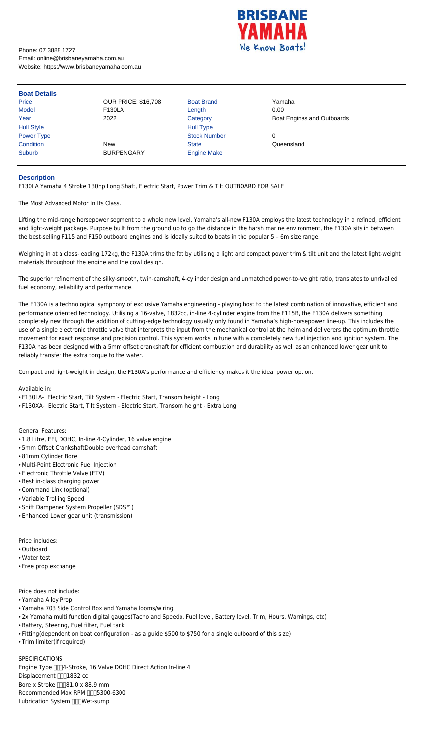

Phone: 07 3888 1727 Email: online@brisbaneyamaha.com.au Website: https://www.brisbaneyamaha.com.au

| <b>Boat Details</b> |                            |                     |                            |
|---------------------|----------------------------|---------------------|----------------------------|
| Price               | <b>OUR PRICE: \$16,708</b> | <b>Boat Brand</b>   | Yamaha                     |
| Model               | <b>F130LA</b>              | Length              | 0.00                       |
| Year                | 2022                       | Category            | Boat Engines and Outboards |
| <b>Hull Style</b>   |                            | <b>Hull Type</b>    |                            |
| Power Type          |                            | <b>Stock Number</b> | 0                          |
| Condition           | <b>New</b>                 | <b>State</b>        | Queensland                 |
| <b>Suburb</b>       | <b>BURPENGARY</b>          | <b>Engine Make</b>  |                            |

## **Description**

F130LA Yamaha 4 Stroke 130hp Long Shaft, Electric Start, Power Trim & Tilt OUTBOARD FOR SALE

The Most Advanced Motor In Its Class.

Lifting the mid-range horsepower segment to a whole new level, Yamaha's all-new F130A employs the latest technology in a refined, efficient and light-weight package. Purpose built from the ground up to go the distance in the harsh marine environment, the F130A sits in between the best-selling F115 and F150 outboard engines and is ideally suited to boats in the popular 5 – 6m size range.

Weighing in at a class-leading 172kg, the F130A trims the fat by utilising a light and compact power trim & tilt unit and the latest light-weight materials throughout the engine and the cowl design.

The superior refinement of the silky-smooth, twin-camshaft, 4-cylinder design and unmatched power-to-weight ratio, translates to unrivalled fuel economy, reliability and performance.

SPECIFICATIONS Engine Type  $\Box$  4-Stroke, 16 Valve DOHC Direct Action In-line 4 Displacement [ 1832 cc] Bore x Stroke  $\Box$  81.0 x 88.9 mm Recommended Max RPM [165300-6300 Lubrication System [ N] Wet-sump

The F130A is a technological symphony of exclusive Yamaha engineering - playing host to the latest combination of innovative, efficient and performance oriented technology. Utilising a 16-valve, 1832cc, in-line 4-cylinder engine from the F115B, the F130A delivers something completely new through the addition of cutting-edge technology usually only found in Yamaha's high-horsepower line-up. This includes the use of a single electronic throttle valve that interprets the input from the mechanical control at the helm and deliverers the optimum throttle movement for exact response and precision control. This system works in tune with a completely new fuel injection and ignition system. The F130A has been designed with a 5mm offset crankshaft for efficient combustion and durability as well as an enhanced lower gear unit to reliably transfer the extra torque to the water.

Compact and light-weight in design, the F130A's performance and efficiency makes it the ideal power option.

## Available in:

- F130LA- Electric Start, Tilt System Electric Start, Transom height Long
- F130XA- Electric Start, Tilt System Electric Start, Transom height Extra Long

## General Features:

- 1.8 Litre, EFI, DOHC, In-line 4-Cylinder, 16 valve engine
- 5mm Offset CrankshaftDouble overhead camshaft
- 81mm Cylinder Bore
- Multi-Point Electronic Fuel Injection
- Electronic Throttle Valve (ETV)
- Best in-class charging power
- Command Link (optional)
- Variable Trolling Speed
- Shift Dampener System Propeller (SDS™)
- Enhanced Lower gear unit (transmission)

Price includes:

- Outboard
- Water test
- Free prop exchange

Price does not include:

• Yamaha Alloy Prop

- Yamaha 703 Side Control Box and Yamaha looms/wiring
- 2x Yamaha multi function digital gauges(Tacho and Speedo, Fuel level, Battery level, Trim, Hours, Warnings, etc)
- Battery, Steering, Fuel filter, Fuel tank
- Fitting(dependent on boat configuration as a guide \$500 to \$750 for a single outboard of this size)
- Trim limiter(if required)